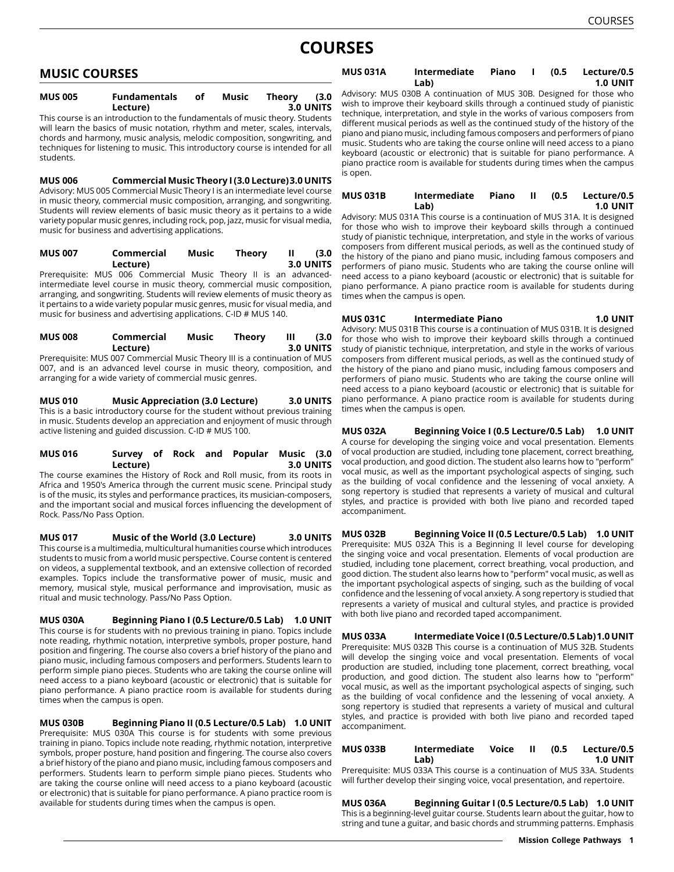# **COURSES**

# **MUSIC COURSES**

| <b>MUS 005</b> | <b>Fundamentals</b>                                                          | оf | Music | Theory | (3.0      |
|----------------|------------------------------------------------------------------------------|----|-------|--------|-----------|
|                | Lecture)                                                                     |    |       |        | 3.0 UNITS |
|                | This source is no introduction to the fundamentals of music theory. Ctudents |    |       |        |           |

This course is an introduction to the fundamentals of music theory. Students will learn the basics of music notation, rhythm and meter, scales, intervals, chords and harmony, music analysis, melodic composition, songwriting, and techniques for listening to music. This introductory course is intended for all students.

**MUS 006 Commercial Music Theory I (3.0 Lecture)3.0 UNITS** Advisory: MUS 005 Commercial Music Theory I is an intermediate level course in music theory, commercial music composition, arranging, and songwriting. Students will review elements of basic music theory as it pertains to a wide variety popular music genres, including rock, pop, jazz, music for visual media, music for business and advertising applications.

# **MUS 007 Commercial Music Theory II (3.0 Lecture) 3.0 UNITS**

Prerequisite: MUS 006 Commercial Music Theory II is an advancedintermediate level course in music theory, commercial music composition, arranging, and songwriting. Students will review elements of music theory as it pertains to a wide variety popular music genres, music for visual media, and music for business and advertising applications. C-ID # MUS 140.

| <b>MUS 008</b> | Commercial | Music | Theory | (3.0)            |
|----------------|------------|-------|--------|------------------|
|                | Lecture)   |       |        | <b>3.0 UNITS</b> |

Prerequisite: MUS 007 Commercial Music Theory III is a continuation of MUS 007, and is an advanced level course in music theory, composition, and arranging for a wide variety of commercial music genres.

**MUS 010 Music Appreciation (3.0 Lecture) 3.0 UNITS** This is a basic introductory course for the student without previous training in music. Students develop an appreciation and enjoyment of music through active listening and guided discussion. C-ID # MUS 100.

## **MUS 016 Survey of Rock and Popular Music (3.0 Lecture) 3.0 UNITS**

The course examines the History of Rock and Roll music, from its roots in Africa and 1950's America through the current music scene. Principal study is of the music, its styles and performance practices, its musician-composers, and the important social and musical forces influencing the development of Rock. Pass/No Pass Option.

**MUS 017 Music of the World (3.0 Lecture) 3.0 UNITS** This course is a multimedia, multicultural humanities course which introduces students to music from a world music perspective. Course content is centered on videos, a supplemental textbook, and an extensive collection of recorded examples. Topics include the transformative power of music, music and memory, musical style, musical performance and improvisation, music as ritual and music technology. Pass/No Pass Option.

**MUS 030A Beginning Piano I (0.5 Lecture/0.5 Lab) 1.0 UNIT** This course is for students with no previous training in piano. Topics include note reading, rhythmic notation, interpretive symbols, proper posture, hand position and fingering. The course also covers a brief history of the piano and piano music, including famous composers and performers. Students learn to perform simple piano pieces. Students who are taking the course online will need access to a piano keyboard (acoustic or electronic) that is suitable for piano performance. A piano practice room is available for students during times when the campus is open.

**MUS 030B Beginning Piano II (0.5 Lecture/0.5 Lab) 1.0 UNIT** Prerequisite: MUS 030A This course is for students with some previous training in piano. Topics include note reading, rhythmic notation, interpretive symbols, proper posture, hand position and fingering. The course also covers a brief history of the piano and piano music, including famous composers and performers. Students learn to perform simple piano pieces. Students who are taking the course online will need access to a piano keyboard (acoustic or electronic) that is suitable for piano performance. A piano practice room is available for students during times when the campus is open.

#### **MUS 031A Intermediate Piano I (0.5 Lecture/0.5 Lab) 1.0 UNIT**

Advisory: MUS 030B A continuation of MUS 30B. Designed for those who wish to improve their keyboard skills through a continued study of pianistic technique, interpretation, and style in the works of various composers from different musical periods as well as the continued study of the history of the piano and piano music, including famous composers and performers of piano music. Students who are taking the course online will need access to a piano keyboard (acoustic or electronic) that is suitable for piano performance. A piano practice room is available for students during times when the campus is open.

#### **MUS 031B Intermediate Piano II (0.5 Lecture/0.5 Lab) 1.0 UNIT**

Advisory: MUS 031A This course is a continuation of MUS 31A. It is designed for those who wish to improve their keyboard skills through a continued study of pianistic technique, interpretation, and style in the works of various composers from different musical periods, as well as the continued study of the history of the piano and piano music, including famous composers and performers of piano music. Students who are taking the course online will need access to a piano keyboard (acoustic or electronic) that is suitable for piano performance. A piano practice room is available for students during times when the campus is open.

## **MUS 031C Intermediate Piano 1.0 UNIT**

Advisory: MUS 031B This course is a continuation of MUS 031B. It is designed for those who wish to improve their keyboard skills through a continued study of pianistic technique, interpretation, and style in the works of various composers from different musical periods, as well as the continued study of the history of the piano and piano music, including famous composers and performers of piano music. Students who are taking the course online will need access to a piano keyboard (acoustic or electronic) that is suitable for piano performance. A piano practice room is available for students during times when the campus is open.

**MUS 032A Beginning Voice I (0.5 Lecture/0.5 Lab) 1.0 UNIT** A course for developing the singing voice and vocal presentation. Elements of vocal production are studied, including tone placement, correct breathing, vocal production, and good diction. The student also learns how to "perform" vocal music, as well as the important psychological aspects of singing, such as the building of vocal confidence and the lessening of vocal anxiety. A song repertory is studied that represents a variety of musical and cultural styles, and practice is provided with both live piano and recorded taped accompaniment.

**MUS 032B Beginning Voice II (0.5 Lecture/0.5 Lab) 1.0 UNIT** Prerequisite: MUS 032A This is a Beginning II level course for developing the singing voice and vocal presentation. Elements of vocal production are studied, including tone placement, correct breathing, vocal production, and good diction. The student also learns how to "perform" vocal music, as well as the important psychological aspects of singing, such as the building of vocal confidence and the lessening of vocal anxiety. A song repertory is studied that represents a variety of musical and cultural styles, and practice is provided with both live piano and recorded taped accompaniment.

**MUS 033A Intermediate Voice I (0.5 Lecture/0.5 Lab)1.0 UNIT** Prerequisite: MUS 032B This course is a continuation of MUS 32B. Students will develop the singing voice and vocal presentation. Elements of vocal production are studied, including tone placement, correct breathing, vocal production, and good diction. The student also learns how to "perform" vocal music, as well as the important psychological aspects of singing, such as the building of vocal confidence and the lessening of vocal anxiety. A song repertory is studied that represents a variety of musical and cultural styles, and practice is provided with both live piano and recorded taped accompaniment.

## **MUS 033B Intermediate Voice II (0.5 Lecture/0.5 Lab) 1.0 UNIT**

Prerequisite: MUS 033A This course is a continuation of MUS 33A. Students will further develop their singing voice, vocal presentation, and repertoire.

#### **MUS 036A Beginning Guitar I (0.5 Lecture/0.5 Lab) 1.0 UNIT** This is a beginning-level guitar course. Students learn about the guitar, how to

string and tune a guitar, and basic chords and strumming patterns. Emphasis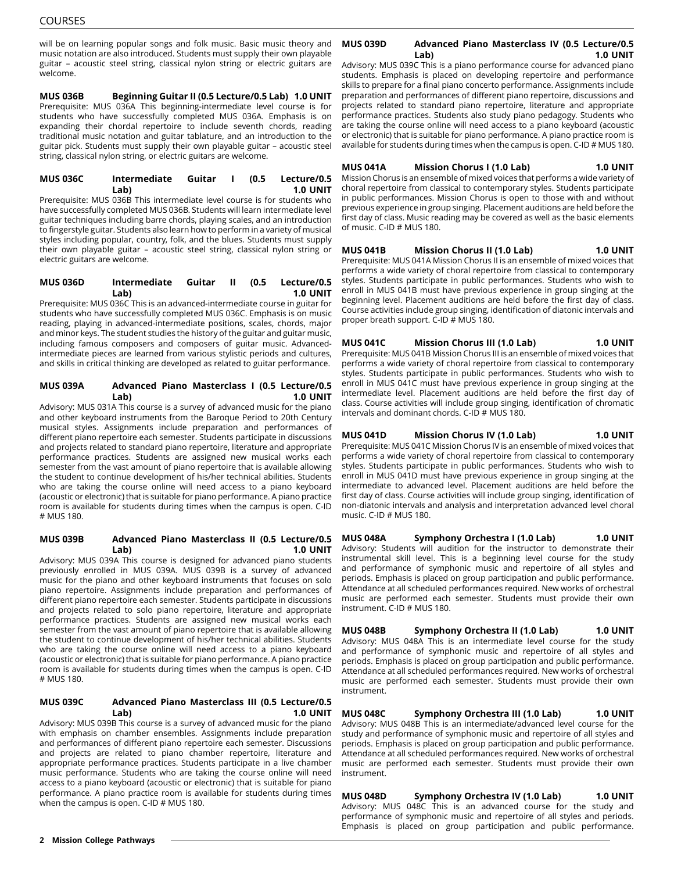will be on learning popular songs and folk music. Basic music theory and music notation are also introduced. Students must supply their own playable guitar – acoustic steel string, classical nylon string or electric guitars are welcome.

**MUS 036B Beginning Guitar II (0.5 Lecture/0.5 Lab) 1.0 UNIT** Prerequisite: MUS 036A This beginning-intermediate level course is for students who have successfully completed MUS 036A. Emphasis is on expanding their chordal repertoire to include seventh chords, reading traditional music notation and guitar tablature, and an introduction to the guitar pick. Students must supply their own playable guitar – acoustic steel string, classical nylon string, or electric guitars are welcome.

#### **MUS 036C Intermediate Guitar I (0.5 Lecture/0.5 Lab) 1.0 UNIT**

Prerequisite: MUS 036B This intermediate level course is for students who have successfully completed MUS 036B. Students will learn intermediate level guitar techniques including barre chords, playing scales, and an introduction to fingerstyle guitar. Students also learn how to perform in a variety of musical styles including popular, country, folk, and the blues. Students must supply their own playable guitar – acoustic steel string, classical nylon string or electric guitars are welcome.

#### **MUS 036D Intermediate Guitar II (0.5 Lecture/0.5 Lab) 1.0 UNIT**

Prerequisite: MUS 036C This is an advanced-intermediate course in guitar for students who have successfully completed MUS 036C. Emphasis is on music reading, playing in advanced-intermediate positions, scales, chords, major and minor keys. The student studies the history of the guitar and guitar music, including famous composers and composers of guitar music. Advancedintermediate pieces are learned from various stylistic periods and cultures, and skills in critical thinking are developed as related to guitar performance.

#### **MUS 039A Advanced Piano Masterclass I (0.5 Lecture/0.5 Lab) 1.0 UNIT**

Advisory: MUS 031A This course is a survey of advanced music for the piano and other keyboard instruments from the Baroque Period to 20th Century musical styles. Assignments include preparation and performances of different piano repertoire each semester. Students participate in discussions and projects related to standard piano repertoire, literature and appropriate performance practices. Students are assigned new musical works each semester from the vast amount of piano repertoire that is available allowing the student to continue development of his/her technical abilities. Students who are taking the course online will need access to a piano keyboard (acoustic or electronic) that is suitable for piano performance. A piano practice room is available for students during times when the campus is open. C-ID # MUS 180.

## **MUS 039B Advanced Piano Masterclass II (0.5 Lecture/0.5 Lab) 1.0 UNIT**

Advisory: MUS 039A This course is designed for advanced piano students previously enrolled in MUS 039A. MUS 039B is a survey of advanced music for the piano and other keyboard instruments that focuses on solo piano repertoire. Assignments include preparation and performances of different piano repertoire each semester. Students participate in discussions and projects related to solo piano repertoire, literature and appropriate performance practices. Students are assigned new musical works each semester from the vast amount of piano repertoire that is available allowing the student to continue development of his/her technical abilities. Students who are taking the course online will need access to a piano keyboard (acoustic or electronic) that is suitable for piano performance. A piano practice room is available for students during times when the campus is open. C-ID # MUS 180.

## **MUS 039C Advanced Piano Masterclass III (0.5 Lecture/0.5 Lab) 1.0 UNIT**

Advisory: MUS 039B This course is a survey of advanced music for the piano with emphasis on chamber ensembles. Assignments include preparation and performances of different piano repertoire each semester. Discussions and projects are related to piano chamber repertoire, literature and appropriate performance practices. Students participate in a live chamber music performance. Students who are taking the course online will need access to a piano keyboard (acoustic or electronic) that is suitable for piano performance. A piano practice room is available for students during times when the campus is open. C-ID # MUS 180.

## **MUS 039D Advanced Piano Masterclass IV (0.5 Lecture/0.5 Lab) 1.0 UNIT**

Advisory: MUS 039C This is a piano performance course for advanced piano students. Emphasis is placed on developing repertoire and performance skills to prepare for a final piano concerto performance. Assignments include preparation and performances of different piano repertoire, discussions and projects related to standard piano repertoire, literature and appropriate performance practices. Students also study piano pedagogy. Students who are taking the course online will need access to a piano keyboard (acoustic or electronic) that is suitable for piano performance. A piano practice room is available for students during times when the campus is open. C-ID # MUS 180.

#### **MUS 041A Mission Chorus I (1.0 Lab) 1.0 UNIT** Mission Chorus is an ensemble of mixed voices that performs a wide variety of choral repertoire from classical to contemporary styles. Students participate in public performances. Mission Chorus is open to those with and without previous experience in group singing. Placement auditions are held before the first day of class. Music reading may be covered as well as the basic elements of music. C-ID # MUS 180.

**MUS 041B Mission Chorus II (1.0 Lab) 1.0 UNIT** Prerequisite: MUS 041A Mission Chorus II is an ensemble of mixed voices that performs a wide variety of choral repertoire from classical to contemporary styles. Students participate in public performances. Students who wish to enroll in MUS 041B must have previous experience in group singing at the beginning level. Placement auditions are held before the first day of class. Course activities include group singing, identification of diatonic intervals and proper breath support. C-ID # MUS 180.

#### **MUS 041C Mission Chorus III (1.0 Lab) 1.0 UNIT** Prerequisite: MUS 041B Mission Chorus III is an ensemble of mixed voices that performs a wide variety of choral repertoire from classical to contemporary styles. Students participate in public performances. Students who wish to enroll in MUS 041C must have previous experience in group singing at the intermediate level. Placement auditions are held before the first day of class. Course activities will include group singing, identification of chromatic intervals and dominant chords. C-ID # MUS 180.

**MUS 041D Mission Chorus IV (1.0 Lab) 1.0 UNIT** Prerequisite: MUS 041C Mission Chorus IV is an ensemble of mixed voices that performs a wide variety of choral repertoire from classical to contemporary styles. Students participate in public performances. Students who wish to enroll in MUS 041D must have previous experience in group singing at the intermediate to advanced level. Placement auditions are held before the first day of class. Course activities will include group singing, identification of non-diatonic intervals and analysis and interpretation advanced level choral music. C-ID # MUS 180.

**MUS 048A Symphony Orchestra I (1.0 Lab) 1.0 UNIT** Advisory: Students will audition for the instructor to demonstrate their instrumental skill level. This is a beginning level course for the study and performance of symphonic music and repertoire of all styles and periods. Emphasis is placed on group participation and public performance. Attendance at all scheduled performances required. New works of orchestral music are performed each semester. Students must provide their own instrument. C-ID # MUS 180.

**MUS 048B Symphony Orchestra II (1.0 Lab) 1.0 UNIT** Advisory: MUS 048A This is an intermediate level course for the study and performance of symphonic music and repertoire of all styles and periods. Emphasis is placed on group participation and public performance. Attendance at all scheduled performances required. New works of orchestral music are performed each semester. Students must provide their own instrument.

**MUS 048C Symphony Orchestra III (1.0 Lab) 1.0 UNIT** Advisory: MUS 048B This is an intermediate/advanced level course for the study and performance of symphonic music and repertoire of all styles and periods. Emphasis is placed on group participation and public performance. Attendance at all scheduled performances required. New works of orchestral music are performed each semester. Students must provide their own instrument.

**MUS 048D Symphony Orchestra IV (1.0 Lab) 1.0 UNIT** Advisory: MUS 048C This is an advanced course for the study and performance of symphonic music and repertoire of all styles and periods. Emphasis is placed on group participation and public performance.